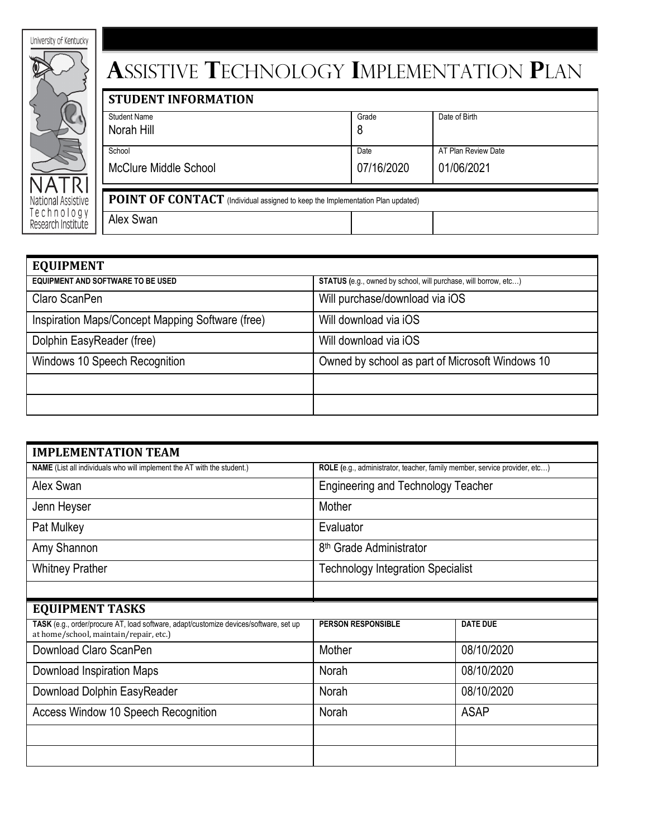| University of Kentucky           |
|----------------------------------|
|                                  |
|                                  |
|                                  |
|                                  |
|                                  |
|                                  |
|                                  |
| National Assistive               |
| Technology<br>Research Institute |

## **A**ssistive **T**echnology **I**mplementation **P**lan

| <b>STUDENT INFORMATION</b>                                                            |            |                     |  |
|---------------------------------------------------------------------------------------|------------|---------------------|--|
| <b>Student Name</b>                                                                   | Grade      | Date of Birth       |  |
| Norah Hill                                                                            | 8          |                     |  |
| School                                                                                | Date       | AT Plan Review Date |  |
| <b>McClure Middle School</b>                                                          | 07/16/2020 | 01/06/2021          |  |
| <b>POINT OF CONTACT</b> (Individual assigned to keep the Implementation Plan updated) |            |                     |  |
| Alex Swan                                                                             |            |                     |  |

| <b>EQUIPMENT</b>                                 |                                                                        |
|--------------------------------------------------|------------------------------------------------------------------------|
| <b>EQUIPMENT AND SOFTWARE TO BE USED</b>         | <b>STATUS</b> (e.g., owned by school, will purchase, will borrow, etc) |
| Claro ScanPen                                    | Will purchase/download via iOS                                         |
| Inspiration Maps/Concept Mapping Software (free) | Will download via iOS                                                  |
| Dolphin EasyReader (free)                        | Will download via iOS                                                  |
| Windows 10 Speech Recognition                    | Owned by school as part of Microsoft Windows 10                        |
|                                                  |                                                                        |
|                                                  |                                                                        |

| <b>IMPLEMENTATION TEAM</b>                                                                                                      |                                                                           |                 |  |
|---------------------------------------------------------------------------------------------------------------------------------|---------------------------------------------------------------------------|-----------------|--|
| <b>NAME</b> (List all individuals who will implement the AT with the student.)                                                  | ROLE (e.g., administrator, teacher, family member, service provider, etc) |                 |  |
| Alex Swan                                                                                                                       | <b>Engineering and Technology Teacher</b>                                 |                 |  |
| Jenn Heyser                                                                                                                     | Mother                                                                    |                 |  |
| Pat Mulkey                                                                                                                      | Evaluator                                                                 |                 |  |
| Amy Shannon                                                                                                                     | 8 <sup>th</sup> Grade Administrator                                       |                 |  |
| <b>Whitney Prather</b>                                                                                                          | <b>Technology Integration Specialist</b>                                  |                 |  |
|                                                                                                                                 |                                                                           |                 |  |
| <b>EQUIPMENT TASKS</b>                                                                                                          |                                                                           |                 |  |
| TASK (e.g., order/procure AT, load software, adapt/customize devices/software, set up<br>at home/school, maintain/repair, etc.) | <b>PERSON RESPONSIBLE</b>                                                 | <b>DATE DUE</b> |  |
| Download Claro ScanPen                                                                                                          | Mother                                                                    | 08/10/2020      |  |
| Download Inspiration Maps                                                                                                       | Norah                                                                     | 08/10/2020      |  |
| Download Dolphin EasyReader                                                                                                     | Norah                                                                     | 08/10/2020      |  |
| Access Window 10 Speech Recognition                                                                                             | Norah                                                                     | <b>ASAP</b>     |  |
|                                                                                                                                 |                                                                           |                 |  |
|                                                                                                                                 |                                                                           |                 |  |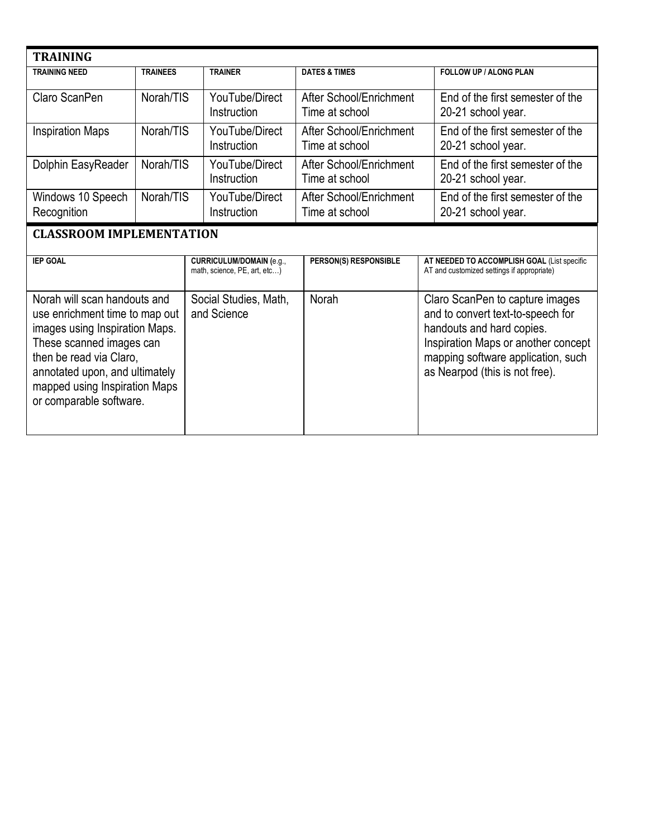| <b>TRAINING</b>                                                                                                              |                 |                                                                 |                                           |                                                                                                                                          |
|------------------------------------------------------------------------------------------------------------------------------|-----------------|-----------------------------------------------------------------|-------------------------------------------|------------------------------------------------------------------------------------------------------------------------------------------|
| <b>TRAINING NEED</b>                                                                                                         | <b>TRAINEES</b> | <b>TRAINER</b>                                                  | <b>DATES &amp; TIMES</b>                  | FOLLOW UP / ALONG PLAN                                                                                                                   |
| Claro ScanPen                                                                                                                | Norah/TIS       | YouTube/Direct<br>Instruction                                   | After School/Enrichment<br>Time at school | End of the first semester of the<br>20-21 school year.                                                                                   |
| <b>Inspiration Maps</b>                                                                                                      | Norah/TIS       | YouTube/Direct<br>Instruction                                   | After School/Enrichment<br>Time at school | End of the first semester of the<br>20-21 school year.                                                                                   |
| Dolphin EasyReader                                                                                                           | Norah/TIS       | YouTube/Direct<br>Instruction                                   | After School/Enrichment<br>Time at school | End of the first semester of the<br>20-21 school year.                                                                                   |
| Windows 10 Speech<br>Recognition                                                                                             | Norah/TIS       | YouTube/Direct<br>Instruction                                   | After School/Enrichment<br>Time at school | End of the first semester of the<br>20-21 school year.                                                                                   |
| <b>CLASSROOM IMPLEMENTATION</b>                                                                                              |                 |                                                                 |                                           |                                                                                                                                          |
| <b>IEP GOAL</b>                                                                                                              |                 | <b>CURRICULUM/DOMAIN (e.g.,</b><br>math, science, PE, art, etc) | PERSON(S) RESPONSIBLE                     | AT NEEDED TO ACCOMPLISH GOAL (List specific<br>AT and customized settings if appropriate)                                                |
| Norah will scan handouts and<br>use enrichment time to map out<br>images using Inspiration Maps.<br>These scanned images can |                 | Social Studies, Math,<br>and Science                            | Norah                                     | Claro ScanPen to capture images<br>and to convert text-to-speech for<br>handouts and hard copies.<br>Inspiration Maps or another concept |

mapping software application, such

as Nearpod (this is not free).

then be read via Claro,

or comparable software.

annotated upon, and ultimately mapped using Inspiration Maps